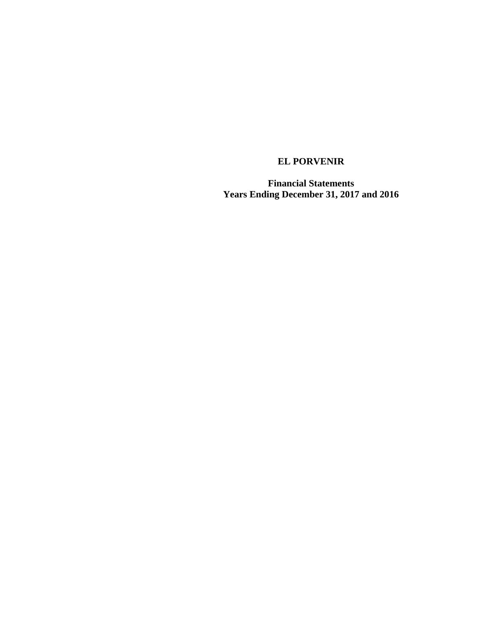**Financial Statements Years Ending December 31, 2017 and 2016**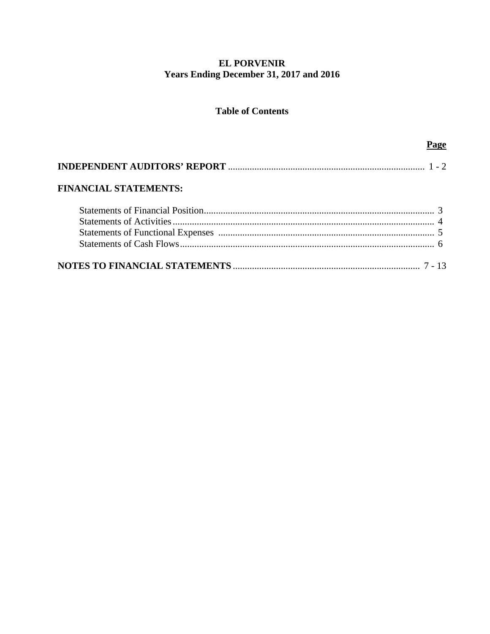# **EL PORVENIR** Years Ending December 31, 2017 and 2016

# **Table of Contents**

| <b>FINANCIAL STATEMENTS:</b> |  |
|------------------------------|--|
|                              |  |
|                              |  |
|                              |  |
|                              |  |
|                              |  |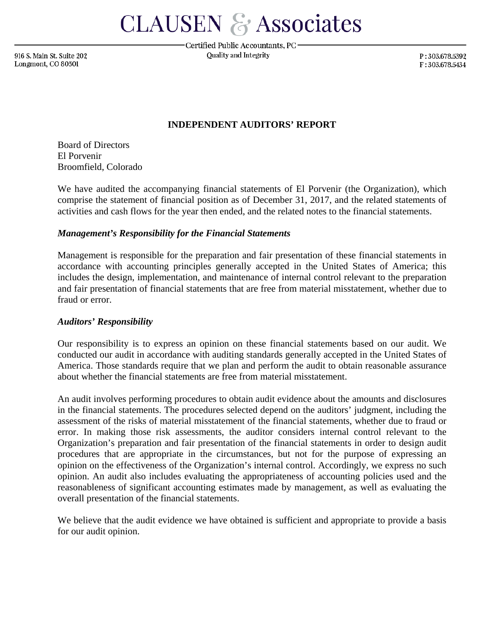**CLAUSEN & Associates** 

916 S. Main St. Suite 202 Longmont, CO 80501

Certified Public Accountants, PC-**Ouality and Integrity** 

P:303.678.5392 F:303.678.5434

## **INDEPENDENT AUDITORS' REPORT**

Board of Directors El Porvenir Broomfield, Colorado

We have audited the accompanying financial statements of El Porvenir (the Organization), which comprise the statement of financial position as of December 31, 2017, and the related statements of activities and cash flows for the year then ended, and the related notes to the financial statements.

## *Management's Responsibility for the Financial Statements*

Management is responsible for the preparation and fair presentation of these financial statements in accordance with accounting principles generally accepted in the United States of America; this includes the design, implementation, and maintenance of internal control relevant to the preparation and fair presentation of financial statements that are free from material misstatement, whether due to fraud or error.

### *Auditors' Responsibility*

Our responsibility is to express an opinion on these financial statements based on our audit. We conducted our audit in accordance with auditing standards generally accepted in the United States of America. Those standards require that we plan and perform the audit to obtain reasonable assurance about whether the financial statements are free from material misstatement.

An audit involves performing procedures to obtain audit evidence about the amounts and disclosures in the financial statements. The procedures selected depend on the auditors' judgment, including the assessment of the risks of material misstatement of the financial statements, whether due to fraud or error. In making those risk assessments, the auditor considers internal control relevant to the Organization's preparation and fair presentation of the financial statements in order to design audit procedures that are appropriate in the circumstances, but not for the purpose of expressing an opinion on the effectiveness of the Organization's internal control. Accordingly, we express no such opinion. An audit also includes evaluating the appropriateness of accounting policies used and the reasonableness of significant accounting estimates made by management, as well as evaluating the overall presentation of the financial statements.

We believe that the audit evidence we have obtained is sufficient and appropriate to provide a basis for our audit opinion.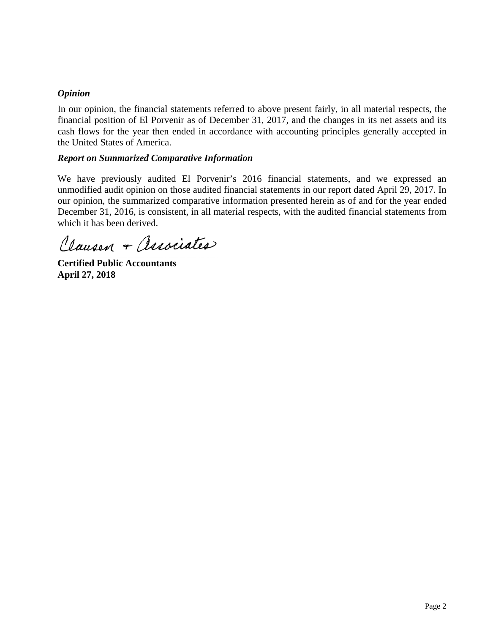# *Opinion*

In our opinion, the financial statements referred to above present fairly, in all material respects, the financial position of El Porvenir as of December 31, 2017, and the changes in its net assets and its cash flows for the year then ended in accordance with accounting principles generally accepted in the United States of America.

# *Report on Summarized Comparative Information*

We have previously audited El Porvenir's 2016 financial statements, and we expressed an unmodified audit opinion on those audited financial statements in our report dated April 29, 2017. In our opinion, the summarized comparative information presented herein as of and for the year ended December 31, 2016, is consistent, in all material respects, with the audited financial statements from which it has been derived.

Clausen + Associates

**Certified Public Accountants April 27, 2018**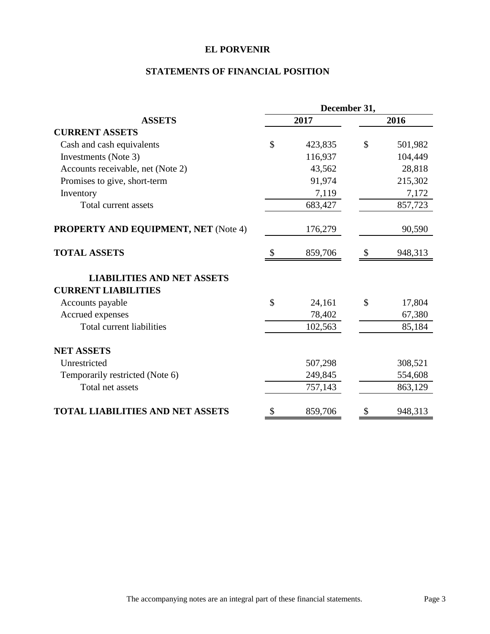# **STATEMENTS OF FINANCIAL POSITION**

|                                                                 | December 31,  |         |               |         |
|-----------------------------------------------------------------|---------------|---------|---------------|---------|
| <b>ASSETS</b>                                                   | 2017          |         |               | 2016    |
| <b>CURRENT ASSETS</b>                                           |               |         |               |         |
| Cash and cash equivalents                                       | $\mathbb{S}$  | 423,835 | \$            | 501,982 |
| Investments (Note 3)                                            |               | 116,937 |               | 104,449 |
| Accounts receivable, net (Note 2)                               |               | 43,562  |               | 28,818  |
| Promises to give, short-term                                    |               | 91,974  |               | 215,302 |
| Inventory                                                       |               | 7,119   |               | 7,172   |
| Total current assets                                            |               | 683,427 |               | 857,723 |
| <b>PROPERTY AND EQUIPMENT, NET (Note 4)</b>                     |               | 176,279 |               | 90,590  |
| <b>TOTAL ASSETS</b>                                             | $\mathcal{S}$ | 859,706 | $\mathcal{S}$ | 948,313 |
| <b>LIABILITIES AND NET ASSETS</b><br><b>CURRENT LIABILITIES</b> |               |         |               |         |
| Accounts payable                                                | \$            | 24,161  | $\mathcal{S}$ | 17,804  |
| Accrued expenses                                                |               | 78,402  |               | 67,380  |
| Total current liabilities                                       |               | 102,563 |               | 85,184  |
| <b>NET ASSETS</b>                                               |               |         |               |         |
| Unrestricted                                                    |               | 507,298 |               | 308,521 |
| Temporarily restricted (Note 6)                                 |               | 249,845 |               | 554,608 |
| Total net assets                                                |               | 757,143 |               | 863,129 |
| <b>TOTAL LIABILITIES AND NET ASSETS</b>                         | \$            | 859,706 | S             | 948,313 |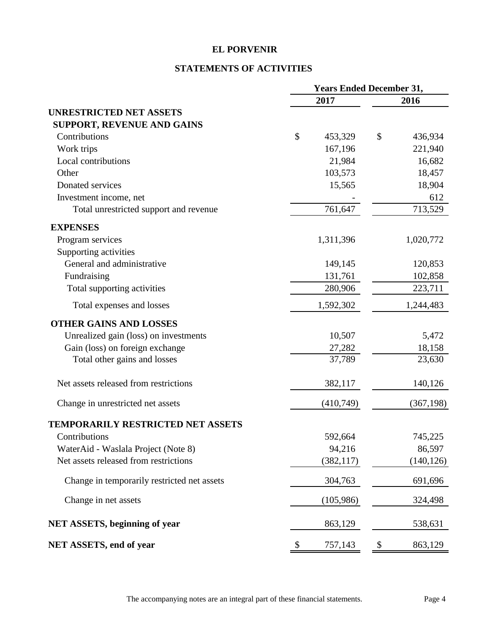# **STATEMENTS OF ACTIVITIES**

|                                             | <b>Years Ended December 31,</b> |            |               |
|---------------------------------------------|---------------------------------|------------|---------------|
|                                             | 2017                            |            | 2016          |
| <b>UNRESTRICTED NET ASSETS</b>              |                                 |            |               |
| <b>SUPPORT, REVENUE AND GAINS</b>           |                                 |            |               |
| Contributions                               | \$                              | 453,329    | \$<br>436,934 |
| Work trips                                  |                                 | 167,196    | 221,940       |
| Local contributions                         |                                 | 21,984     | 16,682        |
| Other                                       |                                 | 103,573    | 18,457        |
| Donated services                            |                                 | 15,565     | 18,904        |
| Investment income, net                      |                                 |            | 612           |
| Total unrestricted support and revenue      |                                 | 761,647    | 713,529       |
| <b>EXPENSES</b>                             |                                 |            |               |
| Program services                            | 1,311,396                       |            | 1,020,772     |
| Supporting activities                       |                                 |            |               |
| General and administrative                  |                                 | 149,145    | 120,853       |
| Fundraising                                 |                                 | 131,761    | 102,858       |
| Total supporting activities                 |                                 | 280,906    | 223,711       |
| Total expenses and losses                   | 1,592,302                       |            | 1,244,483     |
| <b>OTHER GAINS AND LOSSES</b>               |                                 |            |               |
| Unrealized gain (loss) on investments       |                                 | 10,507     | 5,472         |
| Gain (loss) on foreign exchange             |                                 | 27,282     | 18,158        |
| Total other gains and losses                |                                 | 37,789     | 23,630        |
| Net assets released from restrictions       |                                 | 382,117    | 140,126       |
| Change in unrestricted net assets           |                                 | (410,749)  | (367, 198)    |
| <b>TEMPORARILY RESTRICTED NET ASSETS</b>    |                                 |            |               |
| Contributions                               |                                 | 592,664    | 745,225       |
| WaterAid - Waslala Project (Note 8)         |                                 | 94,216     | 86,597        |
| Net assets released from restrictions       |                                 | (382, 117) | (140, 126)    |
| Change in temporarily restricted net assets |                                 | 304,763    | 691,696       |
| Change in net assets                        |                                 | (105,986)  | 324,498       |
| <b>NET ASSETS, beginning of year</b>        |                                 | 863,129    | 538,631       |
| NET ASSETS, end of year                     | \$                              | 757,143    | \$<br>863,129 |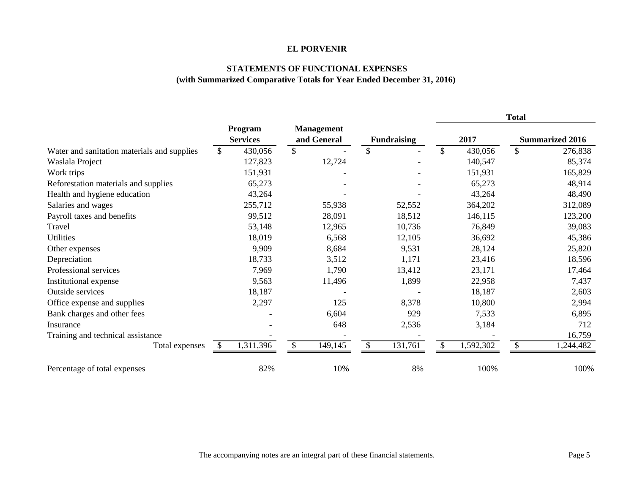#### **STATEMENTS OF FUNCTIONAL EXPENSES (with Summarized Comparative Totals for Year Ended December 31, 2016)**

|                                             |                            |                                  |                          |                 | <b>Total</b>           |
|---------------------------------------------|----------------------------|----------------------------------|--------------------------|-----------------|------------------------|
|                                             | Program<br><b>Services</b> | <b>Management</b><br>and General | <b>Fundraising</b>       | 2017            | <b>Summarized 2016</b> |
| Water and sanitation materials and supplies | 430,056<br>\$              | \$                               | $\mathbb{S}$             | \$<br>430,056   | \$<br>276,838          |
| Waslala Project                             | 127,823                    | 12,724                           |                          | 140,547         | 85,374                 |
| Work trips                                  | 151,931                    |                                  |                          | 151,931         | 165,829                |
| Reforestation materials and supplies        | 65,273                     |                                  |                          | 65,273          | 48,914                 |
| Health and hygiene education                | 43,264                     |                                  |                          | 43,264          | 48,490                 |
| Salaries and wages                          | 255,712                    | 55,938                           | 52,552                   | 364,202         | 312,089                |
| Payroll taxes and benefits                  | 99,512                     | 28,091                           | 18,512                   | 146,115         | 123,200                |
| Travel                                      | 53,148                     | 12,965                           | 10,736                   | 76,849          | 39,083                 |
| <b>Utilities</b>                            | 18,019                     | 6,568                            | 12,105                   | 36,692          | 45,386                 |
| Other expenses                              | 9,909                      | 8,684                            | 9,531                    | 28,124          | 25,820                 |
| Depreciation                                | 18,733                     | 3,512                            | 1,171                    | 23,416          | 18,596                 |
| Professional services                       | 7,969                      | 1,790                            | 13,412                   | 23,171          | 17,464                 |
| Institutional expense                       | 9,563                      | 11,496                           | 1,899                    | 22,958          | 7,437                  |
| <b>Outside services</b>                     | 18,187                     |                                  |                          | 18,187          | 2,603                  |
| Office expense and supplies                 | 2,297                      | 125                              | 8,378                    | 10,800          | 2,994                  |
| Bank charges and other fees                 |                            | 6,604                            | 929                      | 7,533           | 6,895                  |
| Insurance                                   |                            | 648                              | 2,536                    | 3,184           | 712                    |
| Training and technical assistance           |                            |                                  |                          |                 | 16,759                 |
| Total expenses                              | 1,311,396<br><b>S</b>      | 149,145<br><sup>\$</sup>         | 131,761<br>$\mathcal{S}$ | 1,592,302<br>\$ | \$<br>1,244,482        |
| Percentage of total expenses                | 82%                        | 10%                              | 8%                       | 100%            | 100%                   |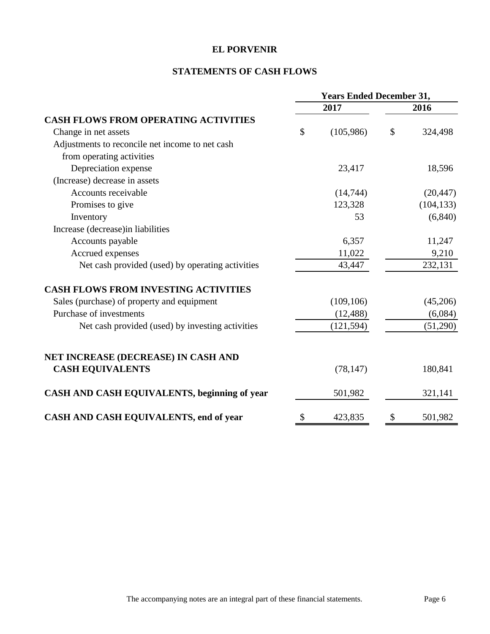# **STATEMENTS OF CASH FLOWS**

|                                                  | <b>Years Ended December 31,</b> |            |    |            |
|--------------------------------------------------|---------------------------------|------------|----|------------|
|                                                  |                                 | 2017       |    | 2016       |
| <b>CASH FLOWS FROM OPERATING ACTIVITIES</b>      |                                 |            |    |            |
| Change in net assets                             | $\mathcal{S}$                   | (105,986)  | \$ | 324,498    |
| Adjustments to reconcile net income to net cash  |                                 |            |    |            |
| from operating activities                        |                                 |            |    |            |
| Depreciation expense                             |                                 | 23,417     |    | 18,596     |
| (Increase) decrease in assets                    |                                 |            |    |            |
| Accounts receivable                              |                                 | (14, 744)  |    | (20, 447)  |
| Promises to give                                 |                                 | 123,328    |    | (104, 133) |
| Inventory                                        |                                 | 53         |    | (6, 840)   |
| Increase (decrease)in liabilities                |                                 |            |    |            |
| Accounts payable                                 |                                 | 6,357      |    | 11,247     |
| Accrued expenses                                 |                                 | 11,022     |    | 9,210      |
| Net cash provided (used) by operating activities |                                 | 43,447     |    | 232,131    |
| <b>CASH FLOWS FROM INVESTING ACTIVITIES</b>      |                                 |            |    |            |
| Sales (purchase) of property and equipment       |                                 | (109, 106) |    | (45,206)   |
| Purchase of investments                          |                                 | (12, 488)  |    | (6,084)    |
| Net cash provided (used) by investing activities |                                 | (121, 594) |    | (51,290)   |
| NET INCREASE (DECREASE) IN CASH AND              |                                 |            |    |            |
| <b>CASH EQUIVALENTS</b>                          |                                 | (78, 147)  |    | 180,841    |
| CASH AND CASH EQUIVALENTS, beginning of year     |                                 | 501,982    |    | 321,141    |
| CASH AND CASH EQUIVALENTS, end of year           | \$                              | 423,835    | \$ | 501,982    |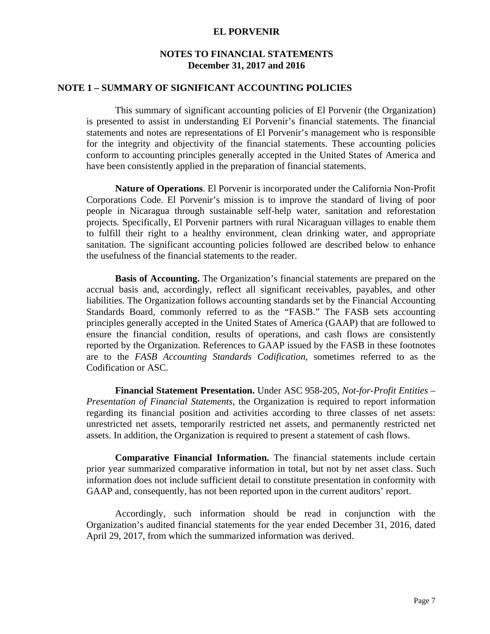# **NOTES TO FINANCIAL STATEMENTS December 31, 2017 and 2016**

### **NOTE 1 – SUMMARY OF SIGNIFICANT ACCOUNTING POLICIES**

This summary of significant accounting policies of El Porvenir (the Organization) is presented to assist in understanding El Porvenir's financial statements. The financial statements and notes are representations of El Porvenir's management who is responsible for the integrity and objectivity of the financial statements. These accounting policies conform to accounting principles generally accepted in the United States of America and have been consistently applied in the preparation of financial statements.

**Nature of Operations**. El Porvenir is incorporated under the California Non-Profit Corporations Code. El Porvenir's mission is to improve the standard of living of poor people in Nicaragua through sustainable self-help water, sanitation and reforestation projects. Specifically, El Porvenir partners with rural Nicaraguan villages to enable them to fulfill their right to a healthy environment, clean drinking water, and appropriate sanitation. The significant accounting policies followed are described below to enhance the usefulness of the financial statements to the reader.

 **Basis of Accounting.** The Organization's financial statements are prepared on the accrual basis and, accordingly, reflect all significant receivables, payables, and other liabilities. The Organization follows accounting standards set by the Financial Accounting Standards Board, commonly referred to as the "FASB." The FASB sets accounting principles generally accepted in the United States of America (GAAP) that are followed to ensure the financial condition, results of operations, and cash flows are consistently reported by the Organization. References to GAAP issued by the FASB in these footnotes are to the *FASB Accounting Standards Codification*, sometimes referred to as the Codification or ASC.

 **Financial Statement Presentation.** Under ASC 958-205, *Not-for-Profit Entities – Presentation of Financial Statements*, the Organization is required to report information regarding its financial position and activities according to three classes of net assets: unrestricted net assets, temporarily restricted net assets, and permanently restricted net assets. In addition, the Organization is required to present a statement of cash flows.

**Comparative Financial Information.** The financial statements include certain prior year summarized comparative information in total, but not by net asset class. Such information does not include sufficient detail to constitute presentation in conformity with GAAP and, consequently, has not been reported upon in the current auditors' report.

Accordingly, such information should be read in conjunction with the Organization's audited financial statements for the year ended December 31, 2016, dated April 29, 2017, from which the summarized information was derived.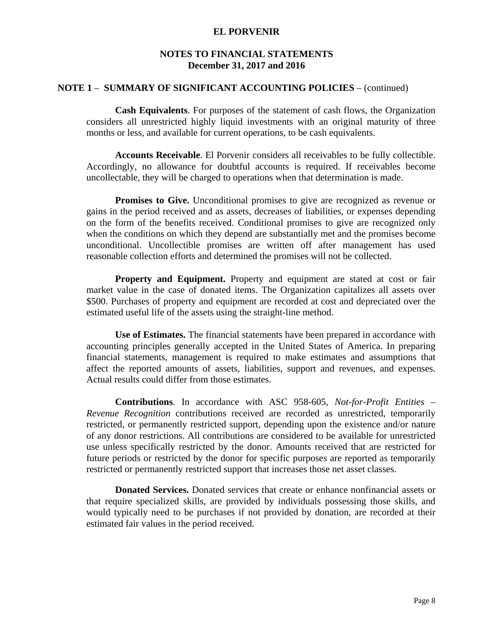## **NOTES TO FINANCIAL STATEMENTS December 31, 2017 and 2016**

### **NOTE 1** – **SUMMARY OF SIGNIFICANT ACCOUNTING POLICIES** – (continued)

**Cash Equivalents**. For purposes of the statement of cash flows, the Organization considers all unrestricted highly liquid investments with an original maturity of three months or less, and available for current operations, to be cash equivalents.

 **Accounts Receivable**. El Porvenir considers all receivables to be fully collectible. Accordingly, no allowance for doubtful accounts is required. If receivables become uncollectable, they will be charged to operations when that determination is made.

**Promises to Give.** Unconditional promises to give are recognized as revenue or gains in the period received and as assets, decreases of liabilities, or expenses depending on the form of the benefits received. Conditional promises to give are recognized only when the conditions on which they depend are substantially met and the promises become unconditional. Uncollectible promises are written off after management has used reasonable collection efforts and determined the promises will not be collected.

**Property and Equipment.** Property and equipment are stated at cost or fair market value in the case of donated items. The Organization capitalizes all assets over \$500. Purchases of property and equipment are recorded at cost and depreciated over the estimated useful life of the assets using the straight-line method.

**Use of Estimates.** The financial statements have been prepared in accordance with accounting principles generally accepted in the United States of America. In preparing financial statements, management is required to make estimates and assumptions that affect the reported amounts of assets, liabilities, support and revenues, and expenses. Actual results could differ from those estimates.

**Contributions**. In accordance with ASC 958-605, *Not-for-Profit Entities – Revenue Recognition* contributions received are recorded as unrestricted, temporarily restricted, or permanently restricted support, depending upon the existence and/or nature of any donor restrictions. All contributions are considered to be available for unrestricted use unless specifically restricted by the donor. Amounts received that are restricted for future periods or restricted by the donor for specific purposes are reported as temporarily restricted or permanently restricted support that increases those net asset classes.

 **Donated Services.** Donated services that create or enhance nonfinancial assets or that require specialized skills, are provided by individuals possessing those skills, and would typically need to be purchases if not provided by donation, are recorded at their estimated fair values in the period received.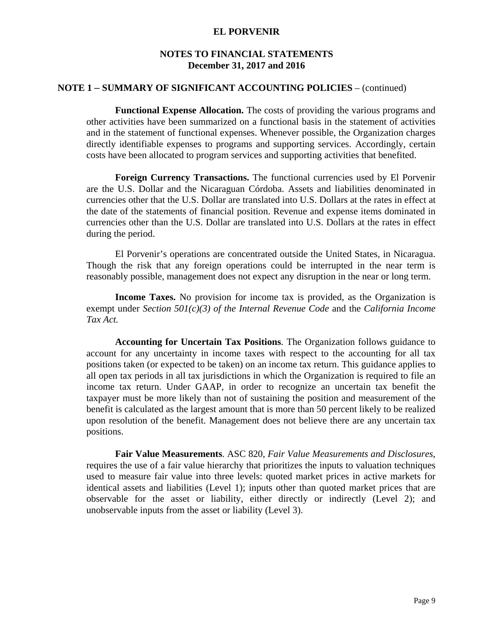## **NOTES TO FINANCIAL STATEMENTS December 31, 2017 and 2016**

### **NOTE 1** – **SUMMARY OF SIGNIFICANT ACCOUNTING POLICIES** – (continued)

 **Functional Expense Allocation.** The costs of providing the various programs and other activities have been summarized on a functional basis in the statement of activities and in the statement of functional expenses. Whenever possible, the Organization charges directly identifiable expenses to programs and supporting services. Accordingly, certain costs have been allocated to program services and supporting activities that benefited.

 **Foreign Currency Transactions.** The functional currencies used by El Porvenir are the U.S. Dollar and the Nicaraguan Córdoba. Assets and liabilities denominated in currencies other that the U.S. Dollar are translated into U.S. Dollars at the rates in effect at the date of the statements of financial position. Revenue and expense items dominated in currencies other than the U.S. Dollar are translated into U.S. Dollars at the rates in effect during the period.

 El Porvenir's operations are concentrated outside the United States, in Nicaragua. Though the risk that any foreign operations could be interrupted in the near term is reasonably possible, management does not expect any disruption in the near or long term.

**Income Taxes.** No provision for income tax is provided, as the Organization is exempt under *Section 501(c)(3) of the Internal Revenue Code* and the *California Income Tax Act.* 

**Accounting for Uncertain Tax Positions**. The Organization follows guidance to account for any uncertainty in income taxes with respect to the accounting for all tax positions taken (or expected to be taken) on an income tax return. This guidance applies to all open tax periods in all tax jurisdictions in which the Organization is required to file an income tax return. Under GAAP, in order to recognize an uncertain tax benefit the taxpayer must be more likely than not of sustaining the position and measurement of the benefit is calculated as the largest amount that is more than 50 percent likely to be realized upon resolution of the benefit. Management does not believe there are any uncertain tax positions.

**Fair Value Measurements**. ASC 820, *Fair Value Measurements and Disclosures*, requires the use of a fair value hierarchy that prioritizes the inputs to valuation techniques used to measure fair value into three levels: quoted market prices in active markets for identical assets and liabilities (Level 1); inputs other than quoted market prices that are observable for the asset or liability, either directly or indirectly (Level 2); and unobservable inputs from the asset or liability (Level 3).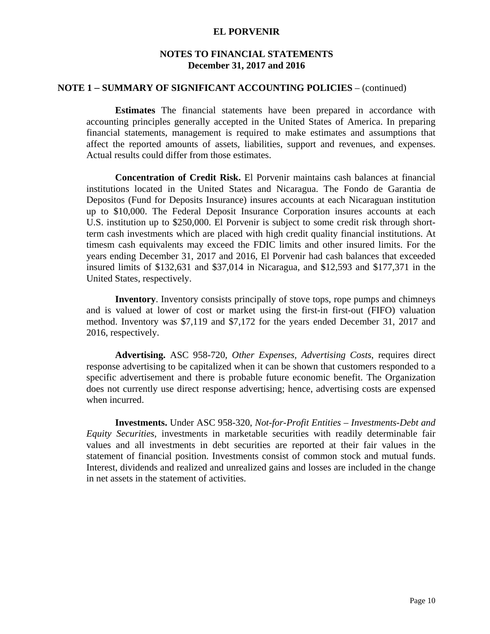## **NOTES TO FINANCIAL STATEMENTS December 31, 2017 and 2016**

### **NOTE 1** – **SUMMARY OF SIGNIFICANT ACCOUNTING POLICIES** – (continued)

**Estimates** The financial statements have been prepared in accordance with accounting principles generally accepted in the United States of America. In preparing financial statements, management is required to make estimates and assumptions that affect the reported amounts of assets, liabilities, support and revenues, and expenses. Actual results could differ from those estimates.

 **Concentration of Credit Risk.** El Porvenir maintains cash balances at financial institutions located in the United States and Nicaragua. The Fondo de Garantia de Depositos (Fund for Deposits Insurance) insures accounts at each Nicaraguan institution up to \$10,000. The Federal Deposit Insurance Corporation insures accounts at each U.S. institution up to \$250,000. El Porvenir is subject to some credit risk through shortterm cash investments which are placed with high credit quality financial institutions. At timesm cash equivalents may exceed the FDIC limits and other insured limits. For the years ending December 31, 2017 and 2016, El Porvenir had cash balances that exceeded insured limits of \$132,631 and \$37,014 in Nicaragua, and \$12,593 and \$177,371 in the United States, respectively.

**Inventory**. Inventory consists principally of stove tops, rope pumps and chimneys and is valued at lower of cost or market using the first-in first-out (FIFO) valuation method. Inventory was \$7,119 and \$7,172 for the years ended December 31, 2017 and 2016, respectively.

**Advertising.** ASC 958-720, *Other Expenses, Advertising Costs*, requires direct response advertising to be capitalized when it can be shown that customers responded to a specific advertisement and there is probable future economic benefit. The Organization does not currently use direct response advertising; hence, advertising costs are expensed when incurred.

**Investments.** Under ASC 958-320, *Not-for-Profit Entities – Investments-Debt and Equity Securities*, investments in marketable securities with readily determinable fair values and all investments in debt securities are reported at their fair values in the statement of financial position. Investments consist of common stock and mutual funds. Interest, dividends and realized and unrealized gains and losses are included in the change in net assets in the statement of activities.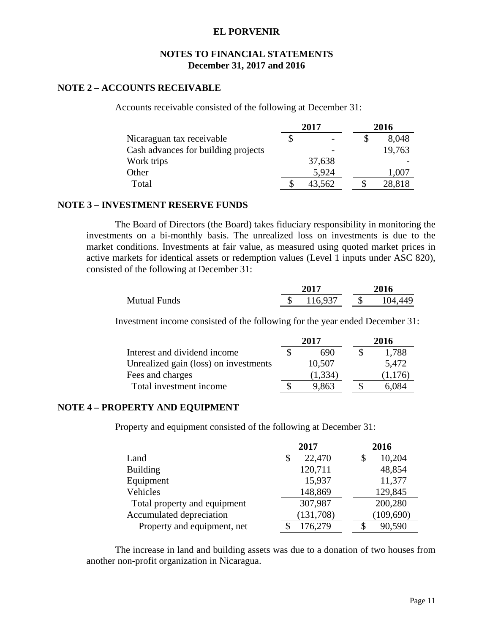## **NOTES TO FINANCIAL STATEMENTS December 31, 2017 and 2016**

### **NOTE 2 – ACCOUNTS RECEIVABLE**

Accounts receivable consisted of the following at December 31:

|                                     | 2017   |  | 2016   |
|-------------------------------------|--------|--|--------|
| Nicaraguan tax receivable           |        |  | 8,048  |
| Cash advances for building projects |        |  | 19,763 |
| Work trips                          | 37,638 |  |        |
| Other                               | 5,924  |  | 1.007  |
| Total                               | 43,562 |  | 28,818 |

### **NOTE 3 – INVESTMENT RESERVE FUNDS**

The Board of Directors (the Board) takes fiduciary responsibility in monitoring the investments on a bi-monthly basis. The unrealized loss on investments is due to the market conditions. Investments at fair value, as measured using quoted market prices in active markets for identical assets or redemption values (Level 1 inputs under ASC 820), consisted of the following at December 31:

|                     | <b>2017</b> | 2016          |
|---------------------|-------------|---------------|
| <b>Mutual Funds</b> | 116,937     | \$<br>104,449 |

Investment income consisted of the following for the year ended December 31:

|                                       |   | 2017    | 2016    |
|---------------------------------------|---|---------|---------|
| Interest and dividend income          |   | 690     | 1,788   |
| Unrealized gain (loss) on investments |   | 10,507  | 5,472   |
| Fees and charges                      |   | (1,334) | (1,176) |
| Total investment income               | S | 9,863   | 6.084   |

## **NOTE 4 – PROPERTY AND EQUIPMENT**

Property and equipment consisted of the following at December 31:

|                              | 2017         | 2016       |
|------------------------------|--------------|------------|
| Land                         | 22,470<br>\$ | 10,204     |
| <b>Building</b>              | 120,711      | 48,854     |
| Equipment                    | 15,937       | 11,377     |
| Vehicles                     | 148,869      | 129,845    |
| Total property and equipment | 307,987      | 200,280    |
| Accumulated depreciation     | (131,708)    | (109, 690) |
| Property and equipment, net  | 176,279      | 90,590     |

The increase in land and building assets was due to a donation of two houses from another non-profit organization in Nicaragua.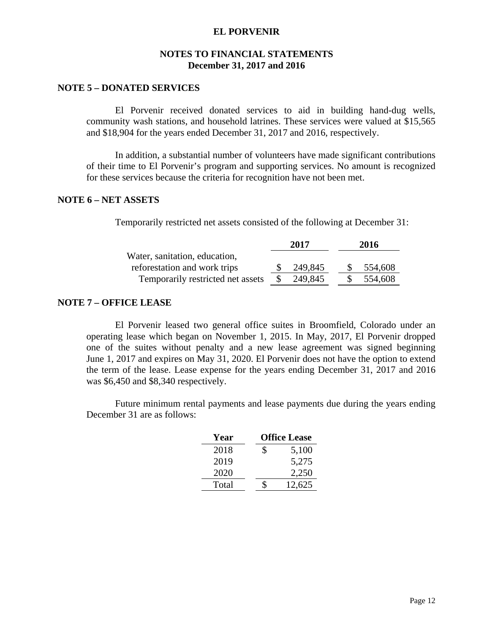## **NOTES TO FINANCIAL STATEMENTS December 31, 2017 and 2016**

### **NOTE 5 – DONATED SERVICES**

El Porvenir received donated services to aid in building hand-dug wells, community wash stations, and household latrines. These services were valued at \$15,565 and \$18,904 for the years ended December 31, 2017 and 2016, respectively.

In addition, a substantial number of volunteers have made significant contributions of their time to El Porvenir's program and supporting services. No amount is recognized for these services because the criteria for recognition have not been met.

### **NOTE 6 – NET ASSETS**

Temporarily restricted net assets consisted of the following at December 31:

| 2017    | 2016    |
|---------|---------|
|         |         |
| 249,845 | 554,608 |
| 249,845 | 554,608 |
|         |         |

#### **NOTE 7 – OFFICE LEASE**

El Porvenir leased two general office suites in Broomfield, Colorado under an operating lease which began on November 1, 2015. In May, 2017, El Porvenir dropped one of the suites without penalty and a new lease agreement was signed beginning June 1, 2017 and expires on May 31, 2020. El Porvenir does not have the option to extend the term of the lease. Lease expense for the years ending December 31, 2017 and 2016 was \$6,450 and \$8,340 respectively.

Future minimum rental payments and lease payments due during the years ending December 31 are as follows:

| Year  | <b>Office Lease</b> |
|-------|---------------------|
| 2018  | \$<br>5,100         |
| 2019  | 5,275               |
| 2020  | 2,250               |
| Total | 12,625              |